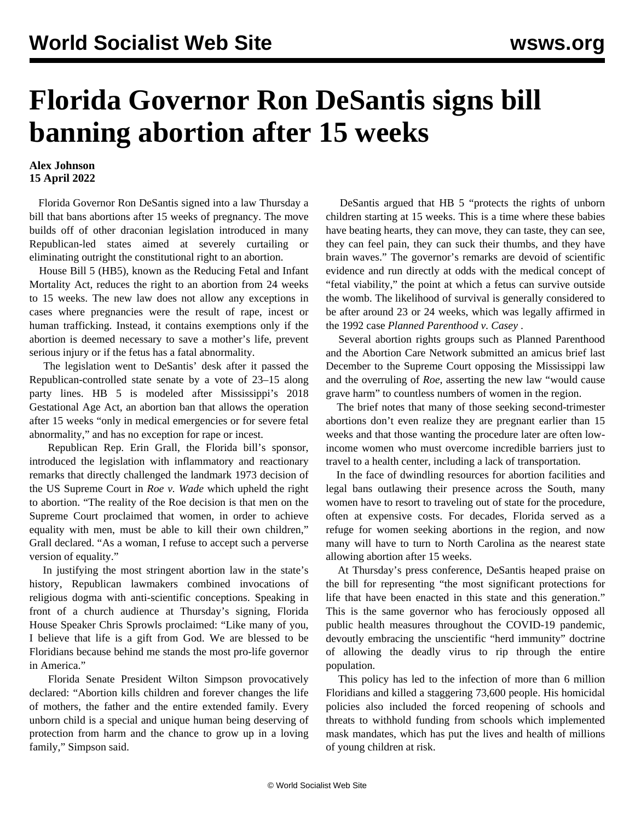## **Florida Governor Ron DeSantis signs bill banning abortion after 15 weeks**

## **Alex Johnson 15 April 2022**

 Florida Governor Ron DeSantis signed into a law Thursday a bill that bans abortions after 15 weeks of pregnancy. The move builds off of other draconian legislation introduced in many Republican-led states aimed at severely curtailing or eliminating outright the constitutional right to an abortion.

 House Bill 5 (HB5), known as the Reducing Fetal and Infant Mortality Act, reduces the right to an abortion from 24 weeks to 15 weeks. The new law does not allow any exceptions in cases where pregnancies were the result of rape, incest or human trafficking. Instead, it contains exemptions only if the abortion is deemed necessary to save a mother's life, prevent serious injury or if the fetus has a fatal abnormality.

 The legislation went to DeSantis' desk after it passed the Republican-controlled state senate by a vote of 23–15 along party lines. HB 5 is modeled after Mississippi's 2018 Gestational Age Act, an abortion ban that allows the operation after 15 weeks "only in medical emergencies or for severe fetal abnormality," and has no exception for rape or incest.

 Republican Rep. Erin Grall, the Florida bill's sponsor, introduced the legislation with inflammatory and reactionary remarks that directly challenged the landmark 1973 decision of the US Supreme Court in *Roe v. Wade* which upheld the right to abortion. "The reality of the Roe decision is that men on the Supreme Court proclaimed that women, in order to achieve equality with men, must be able to kill their own children," Grall declared. "As a woman, I refuse to accept such a perverse version of equality."

 In justifying the most stringent abortion law in the state's history, Republican lawmakers combined invocations of religious dogma with anti-scientific conceptions. Speaking in front of a church audience at Thursday's signing, Florida House Speaker Chris Sprowls proclaimed: "Like many of you, I believe that life is a gift from God. We are blessed to be Floridians because behind me stands the most pro-life governor in America."

 Florida Senate President Wilton Simpson provocatively declared: "Abortion kills children and forever changes the life of mothers, the father and the entire extended family. Every unborn child is a special and unique human being deserving of protection from harm and the chance to grow up in a loving family," Simpson said.

 DeSantis argued that HB 5 "protects the rights of unborn children starting at 15 weeks. This is a time where these babies have beating hearts, they can move, they can taste, they can see, they can feel pain, they can suck their thumbs, and they have brain waves." The governor's remarks are devoid of scientific evidence and run directly at odds with the medical concept of "fetal viability," the point at which a fetus can survive outside the womb. The likelihood of survival is generally considered to be after around 23 or 24 weeks, which was legally affirmed in the 1992 case *Planned Parenthood v. Casey* .

 Several abortion rights groups such as Planned Parenthood and the Abortion Care Network submitted an amicus brief last December to the Supreme Court opposing the Mississippi law and the overruling of *Roe*, asserting the new law "would cause grave harm" to countless numbers of women in the region.

 The brief notes that many of those seeking second-trimester abortions don't even realize they are pregnant earlier than 15 weeks and that those wanting the procedure later are often lowincome women who must overcome incredible barriers just to travel to a health center, including a lack of transportation.

 In the face of dwindling resources for abortion facilities and legal bans outlawing their presence across the South, many women have to resort to traveling out of state for the procedure, often at expensive costs. For decades, Florida served as a refuge for women seeking abortions in the region, and now many will have to turn to North Carolina as the nearest state allowing abortion after 15 weeks.

 At Thursday's press conference, DeSantis heaped praise on the bill for representing "the most significant protections for life that have been enacted in this state and this generation." This is the same governor who has ferociously opposed all public health measures throughout the COVID-19 pandemic, devoutly embracing the unscientific "herd immunity" doctrine of allowing the deadly virus to rip through the entire population.

 This policy has led to the infection of more than 6 million Floridians and killed a staggering 73,600 people. His homicidal policies also included the forced reopening of schools and threats to withhold funding from schools which implemented mask mandates, which has put the lives and health of millions of young children at risk.